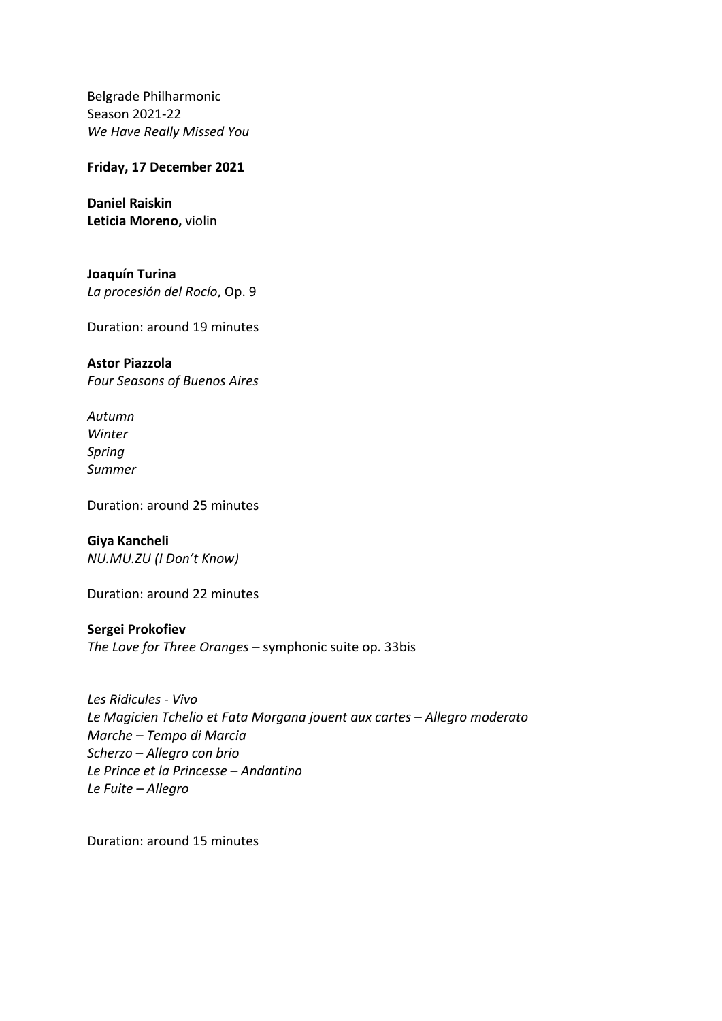Belgrade Philharmonic Season 2021-22 *Wе Have Really Missed You*

**Friday, 17 December 2021**

**Daniel Raiskin Leticia Moreno,** violin

**Joaquín Turina** *La procesión del Rocío*, Op. 9

Duration: around 19 minutes

**Astor Piazzola** *Four Seasons of Buenos Aires*

*Autumn Winter Spring Summer*

Duration: around 25 minutes

**Giya Kancheli** *NU.MU.ZU (I Don't Know)*

Duration: around 22 minutes

**Sergei Prokofiev**

*The Love for Three Oranges –* symphonic suite op. 33bis

*Les Ridicules - Vivo Le Magicien Tchelio et Fata Morgana jouent aux cartes – Allegro moderato Marche – Tempo di Marcia Scherzo – Allegro con brio Le Prince et la Princesse – Andantino Le Fuite – Allegro*

Duration: around 15 minutes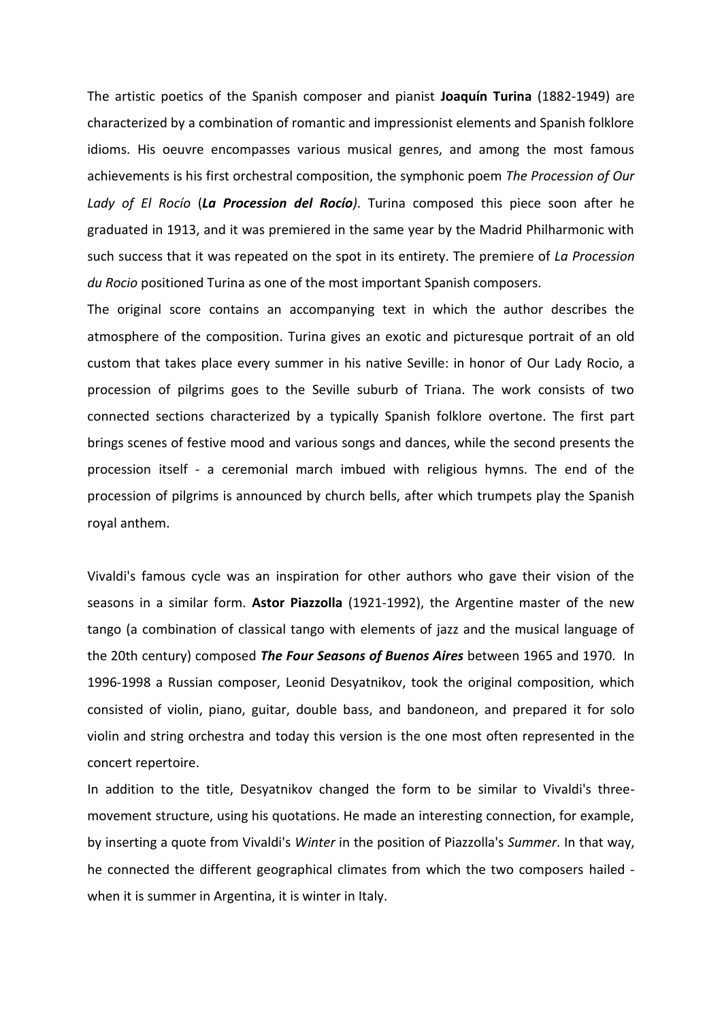The artistic poetics of the Spanish composer and pianist **Joaquín Turina** (1882-1949) are characterized by a combination of romantic and impressionist elements and Spanish folklore idioms. His oeuvre encompasses various musical genres, and among the most famous achievements is his first orchestral composition, the symphonic poem *The Procession of Our Lady of El Rocío* (*La Procession del Rocío)*. Turina composed this piece soon after he graduated in 1913, and it was premiered in the same year by the Madrid Philharmonic with such success that it was repeated on the spot in its entirety. The premiere of *La Procession du Rocio* positioned Turina as one of the most important Spanish composers.

The original score contains an accompanying text in which the author describes the atmosphere of the composition. Turina gives an exotic and picturesque portrait of an old custom that takes place every summer in his native Seville: in honor of Our Lady Rocio, a procession of pilgrims goes to the Seville suburb of Triana. The work consists of two connected sections characterized by a typically Spanish folklore overtone. The first part brings scenes of festive mood and various songs and dances, while the second presents the procession itself - a ceremonial march imbued with religious hymns. The end of the procession of pilgrims is announced by church bells, after which trumpets play the Spanish royal anthem.

Vivaldi's famous cycle was an inspiration for other authors who gave their vision of the seasons in a similar form. **Astor Piazzolla** (1921-1992), the Argentine master of the new tango (a combination of classical tango with elements of jazz and the musical language of the 20th century) composed *The Four Seasons of Buenos Aires* between 1965 and 1970. In 1996-1998 a Russian composer, Leonid Desyatnikov, took the original composition, which consisted of violin, piano, guitar, double bass, and bandoneon, and prepared it for solo violin and string orchestra and today this version is the one most often represented in the concert repertoire.

In addition to the title, Desyatnikov changed the form to be similar to Vivaldi's threemovement structure, using his quotations. He made an interesting connection, for example, by inserting a quote from Vivaldi's *Winter* in the position of Piazzolla's *Summer*. In that way, he connected the different geographical climates from which the two composers hailed when it is summer in Argentina, it is winter in Italy.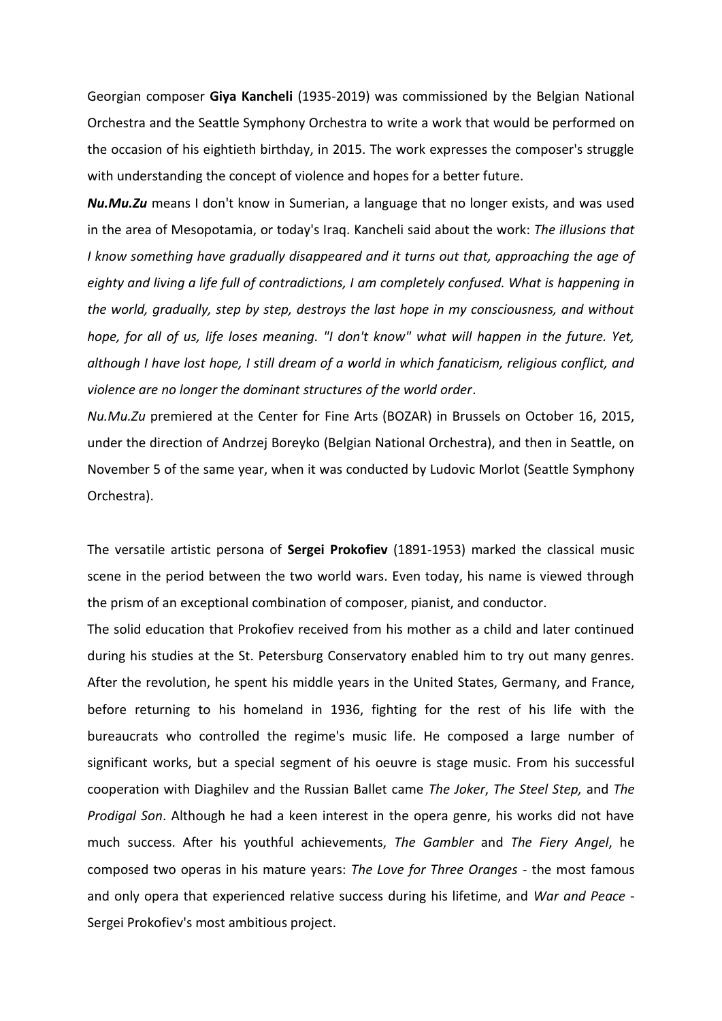Georgian composer **Giya Kancheli** (1935-2019) was commissioned by the Belgian National Orchestra and the Seattle Symphony Orchestra to write a work that would be performed on the occasion of his eightieth birthday, in 2015. The work expresses the composer's struggle with understanding the concept of violence and hopes for a better future.

*Nu.Mu.Zu* means I don't know in Sumerian, a language that no longer exists, and was used in the area of Mesopotamia, or today's Iraq. Kancheli said about the work: *The illusions that I know something have gradually disappeared and it turns out that, approaching the age of eighty and living a life full of contradictions, I am completely confused. What is happening in the world, gradually, step by step, destroys the last hope in my consciousness, and without hope, for all of us, life loses meaning. "I don't know" what will happen in the future. Yet, although I have lost hope, I still dream of a world in which fanaticism, religious conflict, and violence are no longer the dominant structures of the world order*.

*Nu.Mu.Zu* premiered at the Center for Fine Arts (BOZAR) in Brussels on October 16, 2015, under the direction of Andrzej Boreyko (Belgian National Orchestra), and then in Seattle, on November 5 of the same year, when it was conducted by Ludovic Morlot (Seattle Symphony Orchestra).

The versatile artistic persona of **Sergei Prokofiev** (1891-1953) marked the classical music scene in the period between the two world wars. Even today, his name is viewed through the prism of an exceptional combination of composer, pianist, and conductor.

The solid education that Prokofiev received from his mother as a child and later continued during his studies at the St. Petersburg Conservatory enabled him to try out many genres. After the revolution, he spent his middle years in the United States, Germany, and France, before returning to his homeland in 1936, fighting for the rest of his life with the bureaucrats who controlled the regime's music life. He composed a large number of significant works, but a special segment of his oeuvre is stage music. From his successful cooperation with Diaghilev and the Russian Ballet came *The Joker*, *The Steel Step,* and *The Prodigal Son*. Although he had a keen interest in the opera genre, his works did not have much success. After his youthful achievements, *The Gambler* and *The Fiery Angel*, he composed two operas in his mature years: *The Love for Three Oranges* - the most famous and only opera that experienced relative success during his lifetime, and *War and Peace* - Sergei Prokofiev's most ambitious project.